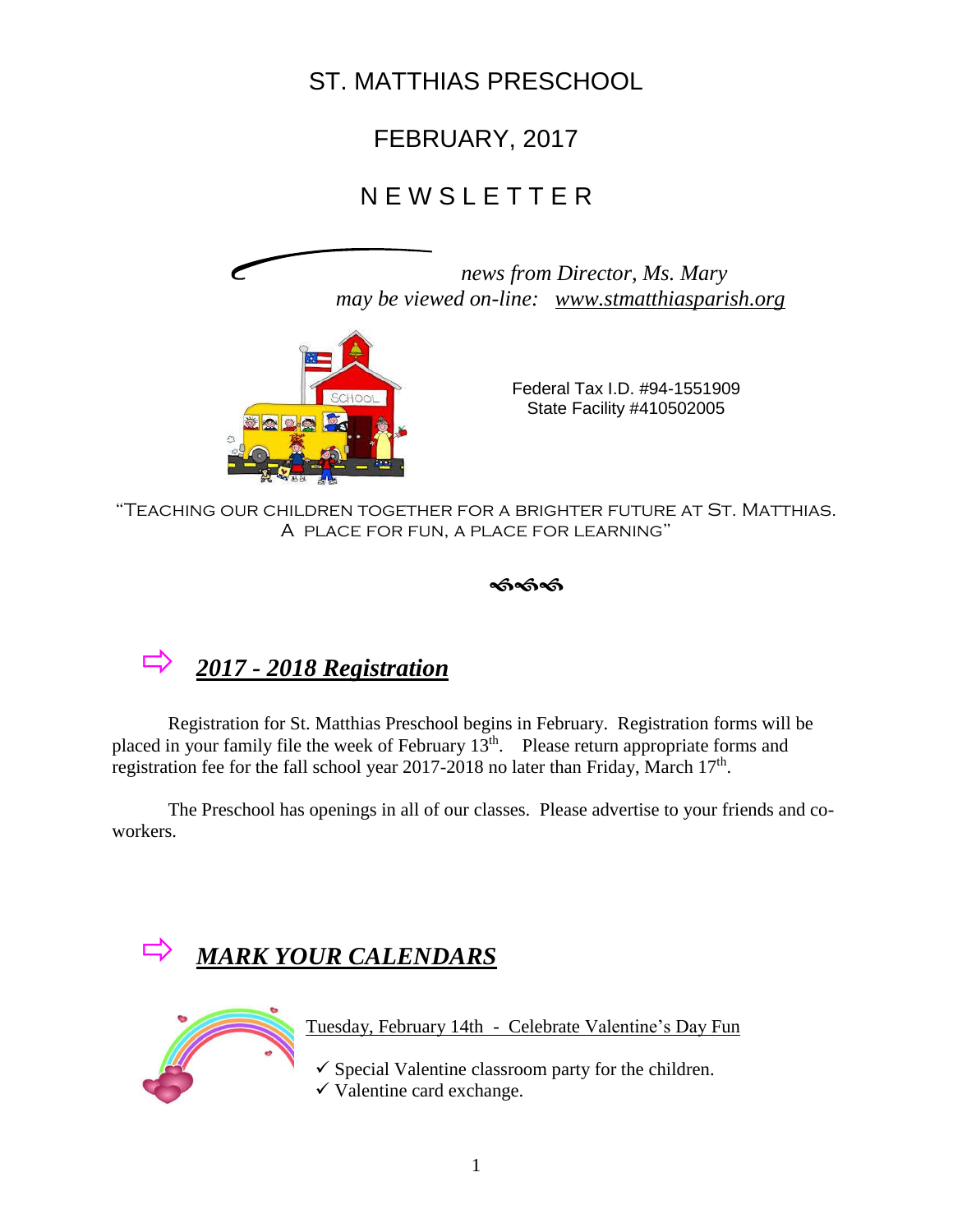# ST. MATTHIAS PRESCHOOL

# FEBRUARY, 2017

# N E W S L E T T E R

 *news from Director, Ms. Mary may be viewed on-line: [www.stmatthiasparish.org](http://www.stmatthiasparish.org/)*



 Federal Tax I.D. #94-1551909 State Facility #410502005

"Teaching our children together for a brighter future at St. Matthias. A place for fun, a place for learning"

# *2017 - <sup>2018</sup> Registration*

Registration for St. Matthias Preschool begins in February. Registration forms will be placed in your family file the week of February  $13<sup>th</sup>$ . Please return appropriate forms and registration fee for the fall school year 2017-2018 no later than Friday, March  $17<sup>th</sup>$ .

The Preschool has openings in all of our classes. Please advertise to your friends and coworkers.





Tuesday, February 14th - Celebrate Valentine's Day Fun

 $\checkmark$  Special Valentine classroom party for the children.  $\checkmark$  Valentine card exchange.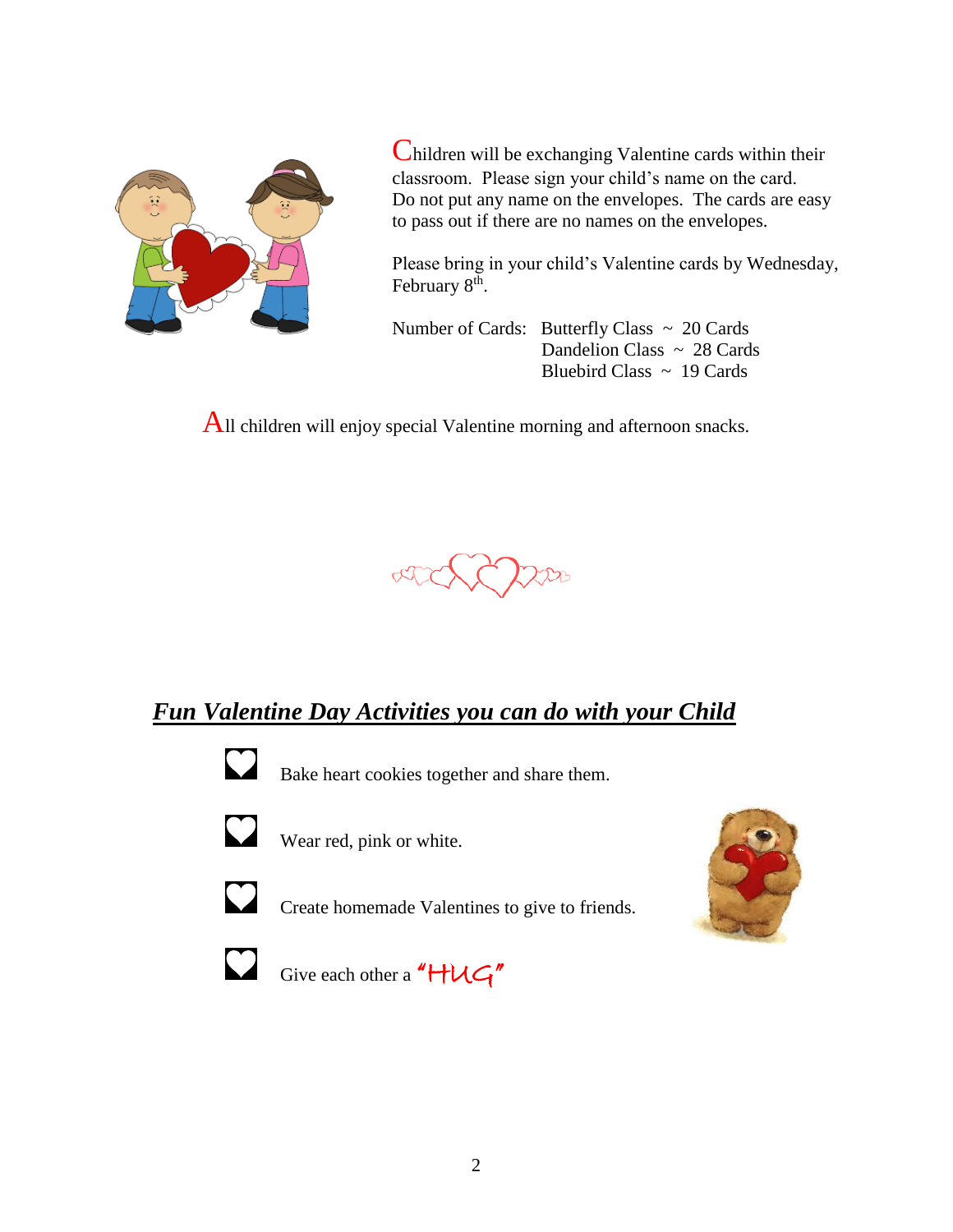

Children will be exchanging Valentine cards within their classroom. Please sign your child's name on the card. Do not put any name on the envelopes. The cards are easy to pass out if there are no names on the envelopes.

 Please bring in your child's Valentine cards by Wednesday, February 8<sup>th</sup>.

Number of Cards: Butterfly Class  $\sim 20$  Cards Dandelion Class  $\sim 28$  Cards Bluebird Class  $\sim 19$  Cards

All children will enjoy special Valentine morning and afternoon snacks.



## *Fun Valentine Day Activities you can do with your Child*



Bake heart cookies together and share them.



Wear red, pink or white.



Create homemade Valentines to give to friends.





Give each other a " $HUC''$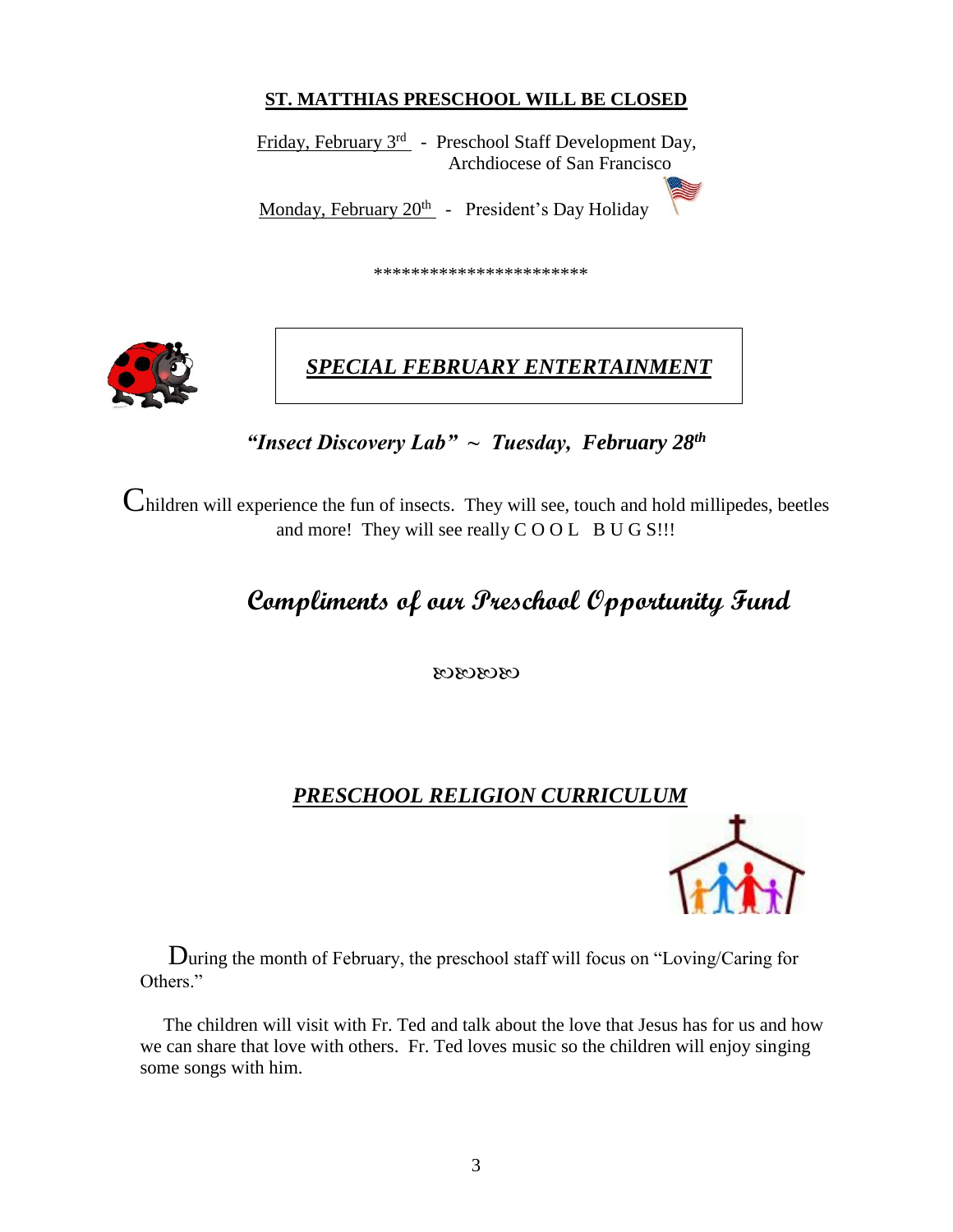#### **ST. MATTHIAS PRESCHOOL WILL BE CLOSED**

**Friday, February 3<sup>rd</sup>** - Preschool Staff Development Day, Archdiocese of San Francisco Monday, February 20<sup>th</sup> - President's Day Holiday

\*\*\*\*\*\*\*\*\*\*\*\*\*\*\*\*\*\*\*\*\*\*\*



## *SPECIAL FEBRUARY ENTERTAINMENT*

*"Insect Discovery Lab" ~ Tuesday, February 28th*

Children will experience the fun of insects. They will see, touch and hold millipedes, beetles and more! They will see really COOL BUG S!!!

# **Compliments of our Preschool Opportunity Fund**

03030303

#### *PRESCHOOL RELIGION CURRICULUM*



During the month of February, the preschool staff will focus on "Loving/Caring for Others<sup>"</sup>

 The children will visit with Fr. Ted and talk about the love that Jesus has for us and how we can share that love with others. Fr. Ted loves music so the children will enjoy singing some songs with him.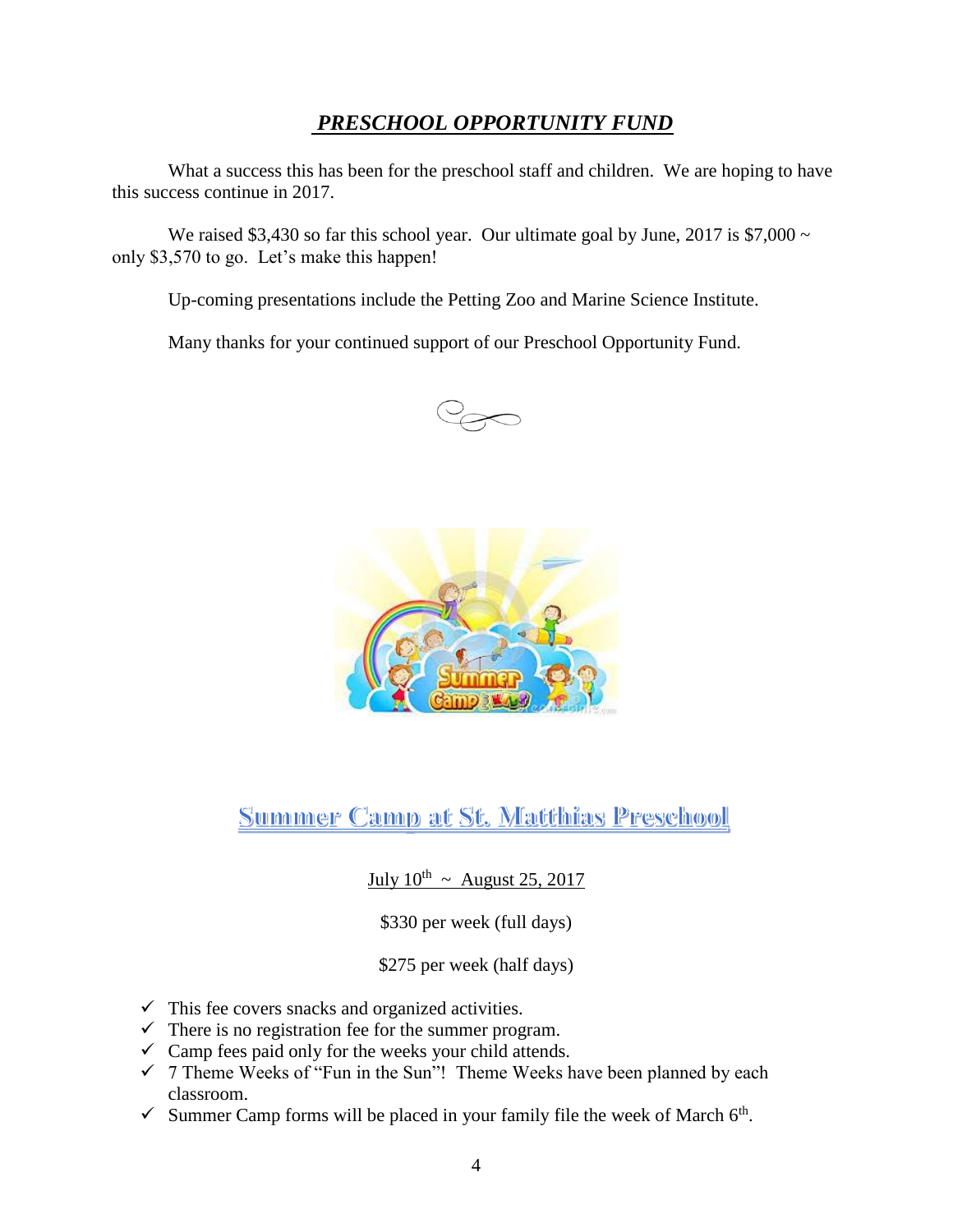#### *PRESCHOOL OPPORTUNITY FUND*

What a success this has been for the preschool staff and children. We are hoping to have this success continue in 2017.

We raised \$3,430 so far this school year. Our ultimate goal by June, 2017 is  $$7,000 \sim$ only \$3,570 to go. Let's make this happen!

Up-coming presentations include the Petting Zoo and Marine Science Institute.

Many thanks for your continued support of our Preschool Opportunity Fund.





**Summer Camp at St. Matthias Preschool** 

July  $10^{\text{th}}$  ~ August 25, 2017

\$330 per week (full days)

\$275 per week (half days)

- $\checkmark$  This fee covers snacks and organized activities.
- $\checkmark$  There is no registration fee for the summer program.
- $\checkmark$  Camp fees paid only for the weeks your child attends.
- $\checkmark$  7 Theme Weeks of "Fun in the Sun"! Theme Weeks have been planned by each classroom.
- Summer Camp forms will be placed in your family file the week of March  $6<sup>th</sup>$ .